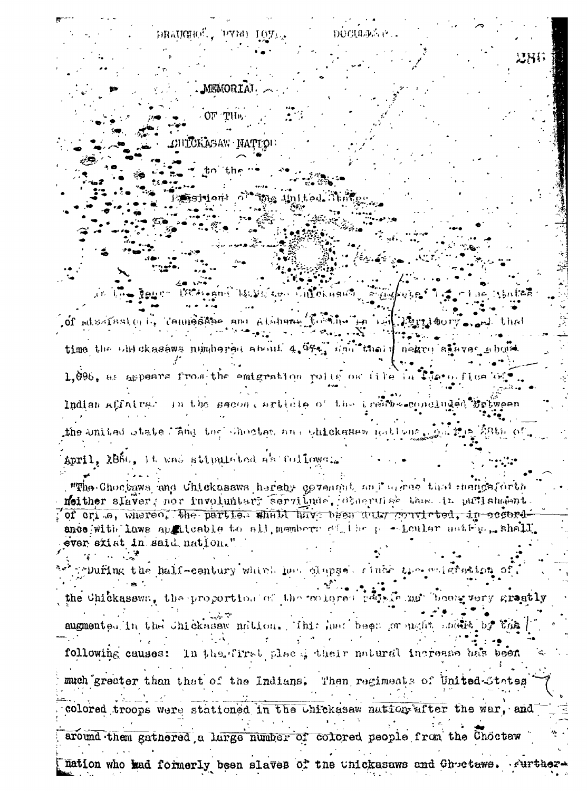DOCUMENT **DRAUGHOL. PYRD IOT.** MEMORIAI OF THE TCKASAW NATTOU  $tn$  the tsintent of the Anthod Store ង្វែរ រូវដូច មាន បានប្រាក់ មានប្រា ஂ௹௸௷ஂ௷ஂ௷௶ௐௐ௶௯௦௱௺ஂ of missificate is temperature and atabuna time the objekasews numbered about 4. GF4, draition of neare staves sould  $1.096$ , as aspears from the emigration rolls on  $(11e)$ . Indian Affairs. In the second article of the brain-scondinged the united whate ling the chocies are chickenes notions. April, 2860, it was stipulated as follower. "The Chochaws and Chicknasws hereby covening and arrive that mangeforth meither slaver; nor involuntary servinde, observise the in pullshabet of crime, whereo, the parties whall have been duty convicted, in accordance with laws applicable to all members of the position anti-pashall ver exist in said nation." Printing the half-century which has dispect rinds the salgration. the Chickasswa, the proportion of the endored papels met beeng very grantly augmented in the chickens million. This has been or ught share by the following causes: In the first place their natural increase has been much greater than that of the Indians. Then regiments of United-States colored troops were stationed in the chickesaw nation after the war, and around them gathered a large number of colored people from the Choctaw Dation who had formerly been slaves of the unickasaws and Ghoetaws. Furt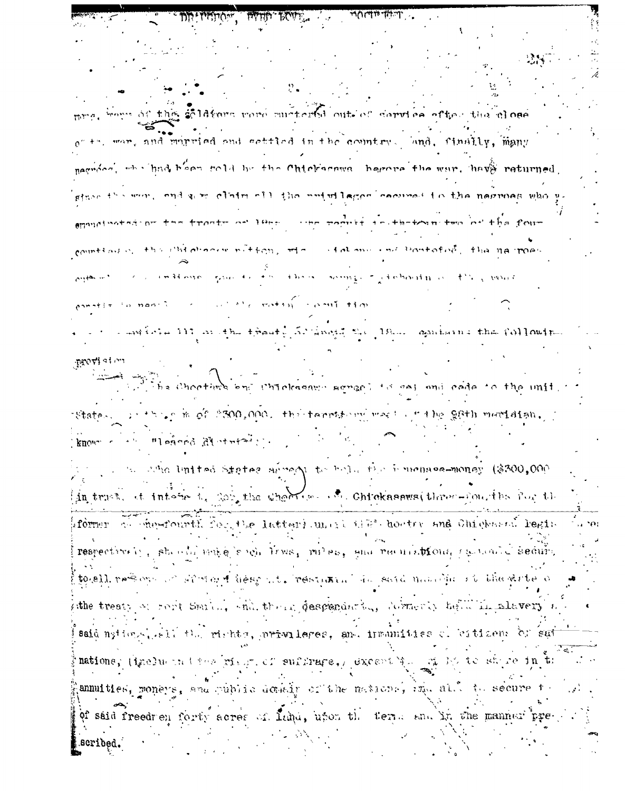$\sim$  Truth at the United Section  $\sim$ **BOVE.** ans of this soldiers rere mustered out-of service efter the close +", war, and mirried and settled in the country. And, finally, many nagroot, whichad hoom sold by the Chickernwa, herors the war, have returned. gine its were ond we claim off the antuilogen cocurse to the negroes who ymated an the though we leave the poontfulled-between the office four countlast of this children without with atalana and bantofod, the nearoed there events rightenoin a they would  $34.036 - 5.500 + 10.000$  $\mathcal{L}(\mathcal{L}^{\mathcal{A}})^{\mathcal{A}}$  is the set of the set of  $\mathcal{L}^{\mathcal{A}}$  is the set of  $\mathcal{L}^{\mathcal{A}}$ was into 111 in the thout, 50 anoth 20 18. agains it the COM outp provision The Choothers and Chiokasamo sameof is as and cade to the unit. this in of 2300,000, the tarribord was at the gath mortain. \*State∴ know and united States areoft to belock by human commonly (\$300,000). in trust, at interest, por the when we are chicknesses three-fourths for the rformer of chostourth for the latter) unit the thorter and Chickers regin respectively, standalmake soch lives, miles, and requisitions is touted secure, togell reference of single fleep at restaura for said namelic it the dite of the treaty of root Smill, whilthout descendenting debractly total in alavery said national sall the rights, privileges, and immunities coloitizens of sui nations, (inelusing the rise of suffrage, except is a sign of the share in the annuities, moneys, and public domain of the nations, ind also to secure to of said freedren forty acres of Luha, upon the term and in the manner prescribed.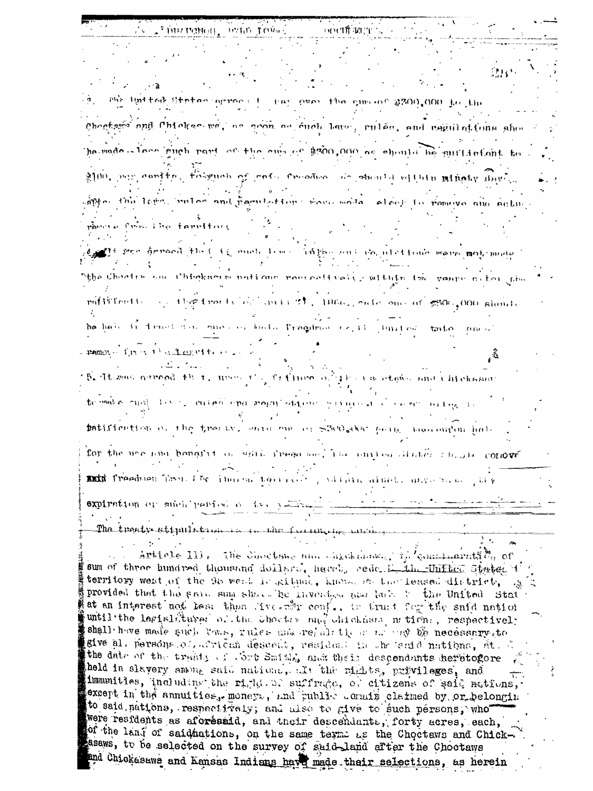! ម ម វាពិ ឃុំ! (T mir linttað Stetan arman thay over the similar \$200,000 in the Chocksis and Chiokse we, as goon on each law, rules, and regulations show ha made where guch rarie of the one of \$300,000 as ehenta be guffdefant to 2100. mm carita, folguch of refu froches, de should ellein minety day. anto the lime. mules and partleting for more mode.  $\alpha$ lent for romeivo ana actua from the familiant Ti seco hereoch fluit it, quot line trie tilly and de utettene more mot mode. "the Chootre and Chigksores notions roornoftvelly within the vance ofter the pofileriti the frontial of anis of, 1966, each one of \$300, 000 should he half it final does one of hold Tragdmon (2, 1)  $\pm$ mited  $\pm$ mata and pamon from the famoutter 5. It was arread that, were also feding of The Cacadonic and Chickman te make qual list is mules ena morniation surrainet i carer patification of the treative same and or S200 day paint then enten half for the use and bongint of which iregands. The anticalitates shown show conover and freedmen flash the indicate their col Addition aimed. anywhich expiration or such parison of the you The treaty ettpulation in the fullation intring  $\mathcal{L} = \mathcal{L}^{-1}$ Article III. The chocksup and chickman in conclusivity or sum of three hundred thousand dollard, hereb. cede himili finited States i territory west of the 95 went is gitual, known so the leased district, gi provided that the grace sum share be invested mar last to the United Stat at an interest not less than live of conf., to trust for the said nation until the legislidures of the Chocter and Chickassa m tions, respectively shall have made such laws, rules and rejulition as any of necessary to give al. persons of african descent, resident in the sedd nations, St. C

the date of the tradity of cort Smith, and their descendants heretogore held in slavery among said nations, alt the rights, privileges, and immunities, uncluding the right of suffrage, of citizens of said mations, except in the annuities, money., and public conain claimed by or belonging to said nations, respectively; and also to give to such persons, who were residents as aforésaid, and their descendants, forty acres, each, of the land of saidhations, on the same terms as the Choctaws and Chicksasaws, to be selected on the survey of suid-land after the Chootaws and Chickesews and Kansas Indians have made their selections, as herein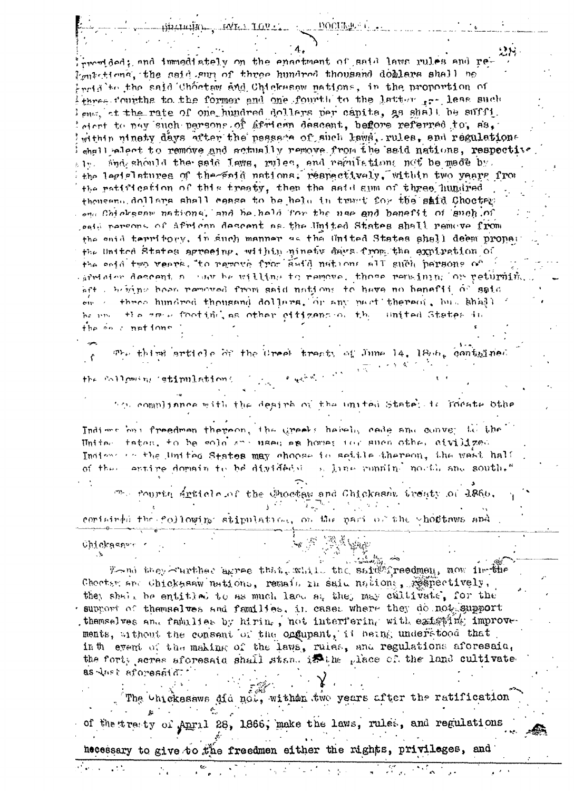$-i$ ) in transite  $-$ INIA IOVIL

provided; and immediately on the enactment of said laws rules and re-Ignistical, the said sun of three hundred thousand doblars shall be instals the said Chöctaw and Chickson nations, in the proportion of three fourths to the former and one fourth to the latter ... less such lema at the rate of one hundred dollars per capits, as shall be sufficient to pay such parsons of African descent, before referred to, ss, within ninety days after the passess of such laws, rules, and regulations  $_{\rm chall}$  alect to remove and actually remove from the said nations, respective  $\varepsilon$   $\mathbf{I}_2$ . And should the said laws, miles, and regulations not be made by. the legislatures of the faid nations. respectively. within two years from the ratification of this treaty, then the said sum of three hundred thouseno, dollars shall eases to be held in trunt for the said Choctar ong Chickscar nations, and he hald for the use and benefit of such of paid persons of African descent as the United States shall remove from the enid territory, in such manner as the United States shall deem proper the United States agreeing, within minety days from the expiration of the seid two vears, to remove from said nations all such persons of arefore descent  $n$  , an beautiful to remove, those remaining or returning aft . hiving been removed from said nations to have no benefit of said on a three hundred thousand dollars, or any part thereof, but shadded be und the small footific, as other eiffgens of the United States in the on connections

The thind article of the Ureek treaty of June 14, 1866, contained  $\hat{r}$  $\mathcal{O} = \bigoplus_{\mathbf{q} \in \mathcal{R}_1} \mathcal{O} \cap \mathcal{H}_1 \subset \mathcal{O} \subset \mathcal{O}^{1 \times N}$ the following istimulations

the compliance with the desire of the united State, is moste othe Indians out freedman thereon, the ureals habeling cade and convert is the Uniter taten, to be sold and usen as home; for such other civilized Indiana an the United States may choose in seitle thereon, the west half of the entire domain to be divided in line munitul north and south."

 $\mathbb{P}_\mathbb{C}$  reprise article of the Choctaw and Chickashy treaty of 1860,  $Y^{(2,2)}$  $\mathcal{L}^{\mathcal{L}}(\mathcal{M})$  , where  $\mathcal{L}^{\mathcal{L}}(\mathcal{M})$  $\lambda_{\rm{max}}$ certained the following stipulation, on the part of the wholtews and

Chickagar r

From they Curther agree that, while the said freedmen, now in the Checter and Chickness nations, remain in said nations, respectively, they shall be entitled to as much lace at they may cultivate, for the support of themselves and families, in cases where they do not support themselves and families by hiring, not interfering with existing improve ments, without the consent of the orgupant, it being understood that in the event of the making of the laws, rules, and regulations aforesain, the forty acres aforesaid shall stand in the place of the land cultivated as interorate sales

The Unickasaws did not, withon two years after the ratification of the treaty of Anril 28, 1866, make the laws, rules, and regulations  $\bar{\mathbf{v}}$  .  $\ddot{\phantom{a}}$ necessary to give to the freedmen either the rights, privileges, and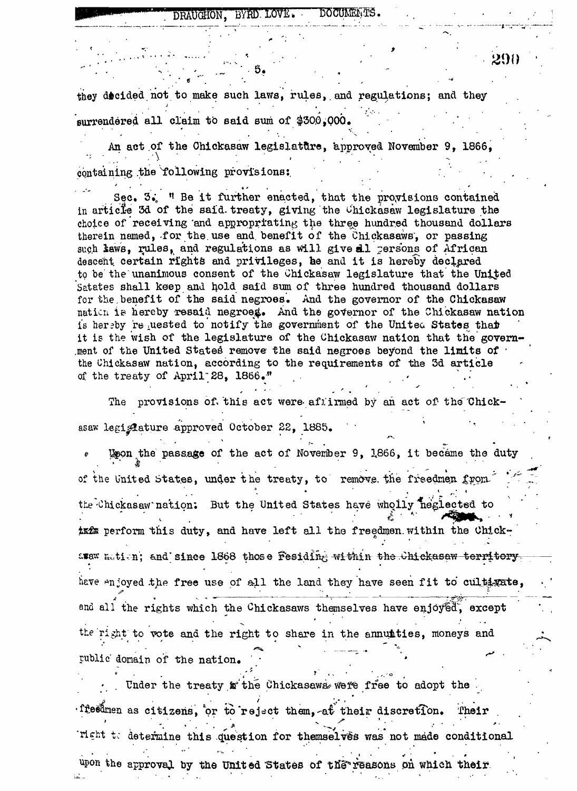## DRAUGHON, BYRD LOVE. DOCUMENTS.

290

they decided not to make such laws, rules, and regulations; and they surrendered all claim to said sum of \$300.000.

An act of the Chickasaw legislature, approved November 9, 1866, containing the following provisions:

Sec. 3. " Be it further enacted, that the provisions contained in article 3d of the said treaty, giving the Chickasaw legislature the choice of receiving and appropriating the three hundred thousand dollars therein named, for the use and benefit of the Chickasaws, or passing such laws, rules, and regulations as will give all persons of African descent certain rights and privileges, he and it is hereby declared to be the unanimous consent of the Chickasaw legislature that the United Satates shall keep and hold said sum of three hundred thousand dollars for the benefit of the said negroes. And the governor of the Chickasaw nation is hereby resaid negroes. And the governor of the Chickasaw nation is hereby requested to notify the government of the United States that it is the wish of the legislature of the Chickasaw nation that the government of the United States remove the said negroes beyond the limits of the Chickasaw nation, according to the requirements of the 3d article of the treaty of April 28, 1866."

The provisions of this act were affirmed by an act of the Chickasaw legislature approved October 22, 1885.

Uson the passage of the act of November 9, 1866, it became the duty of the United States, under the treaty, to remove the freedmen from the Chickasaw nation: But the United States have wholly neglected to tx2m perform this duty, and have left all the freedmen within the Chickawax metion; and since 1868 those fesiding within the Chickasaw territory have enjoyed the free use of all the land they have seen fit to cultigate, and all the rights which the Chickasaws themselves have enjoyed, except the right to vote and the right to share in the annuaties, moneys and rublic domain of the nation.

Under the treaty withe Chickasaws were free to adopt the ffeedmen as citizens, or to reject them, at their discretion. Their Tight to determine this question for themselves was not made conditional upon the approval by the United States of the reasons on which their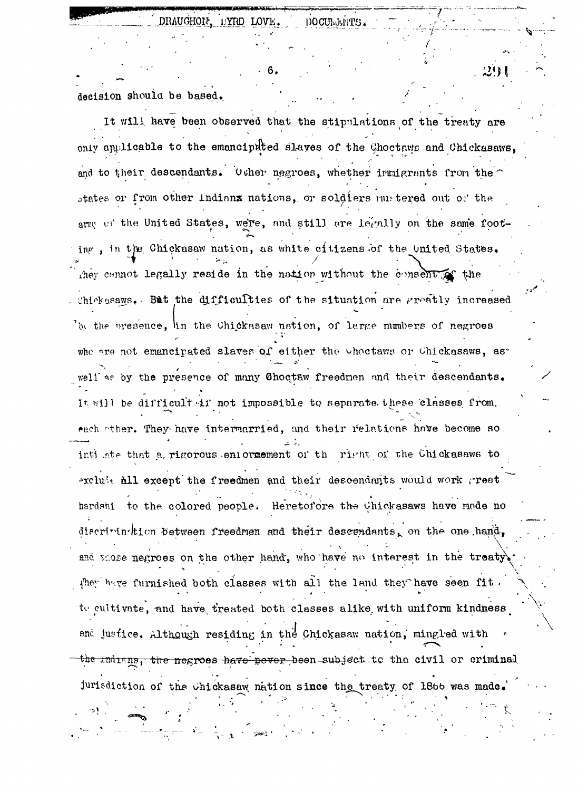沙身

decision should be based.

It will have been observed that the stipulations of the treaty are only applicable to the emancipated slaves of the Choctaws and Chickasaws. and to their descendants. Other negroes, whether immigrants from the states or from other indianx nations, or soldiers mustered out of the arm of the United States, were, and still are legally on the same footing, in the Chickasaw nation, as white citizens of the United States. they cannot legally reside in the nation without the consent of the Chickssaws. But the difficulties of the situation are greatly increased by the presence, in the Chickasaw nation, of large numbers of negroes whe are not emancipated slaves of either the Choctaws or Chickasaws, as well as by the presence of many Choctaw freedmen and their descendants. It will be difficult in not impossible to separate these classes from. each other. They have intermarried, and their relations have become so inti ate that a rigorous enformement of the right of the Chickasaws to excluse all except the freedmen and their descendants would work great hardshi to the colored people. Heretofore the Chickasaws have made no discriminition between freedmen and their descendants, on the one hand, and those negroes on the other hand, who have no interest in the treaty they have furnished both classes with all the land they have seen fit. to cultivate, and have treated both classes alike with uniform kindness and justice. Although residing in the Chickasaw nation, mingled with the indigns, the negroes have never been subject to the civil or criminal jurisdiction of the chickasaw nation since the treaty of 1866 was made.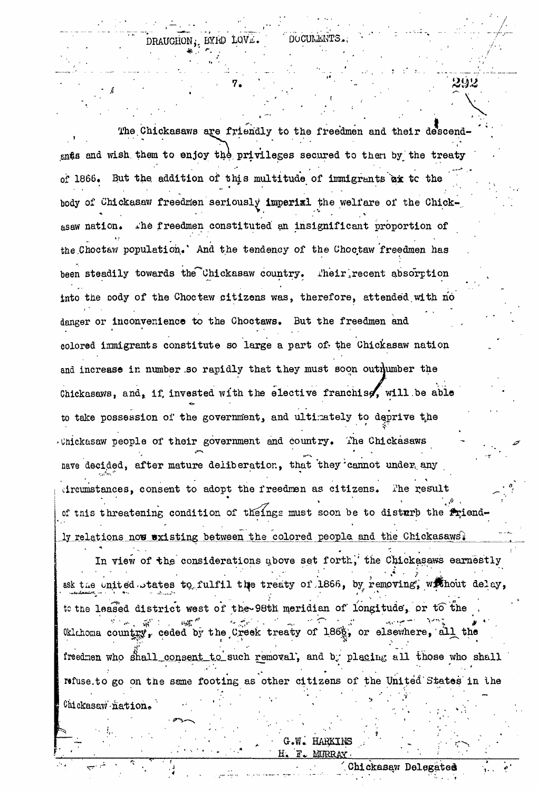292

The Chickasaws are friendly to the freedmen and their descendands and wish them to enjoy the privileges secured to then by the treaty of 1866. But the addition of this multitude of immigrants ax to the body of Chickasaw freedmen seriously imperixl the welfare of the Chickasaw nation. The freedmen constituted an insignificant proportion of the Choctaw population. And the tendency of the Choctaw freedmen has been steadily towards the Chickasaw country. Their recent absorption into the pody of the Choctaw citizens was, therefore, attended with no danger or inconvenience to the Choctaws. But the freedmen and colored immigrants constitute so large a part of the Chickasaw nation and increase in number so rapidly that they must soon outhumber the Chickasaws, and, if invested with the elective franchise, will be able to take possession of the government, and ultimately to deprive the . Unickasaw people of their government and country. The Chickasaws have decided, after mature deliberation, that they cannot under any dreumstances, consent to adopt the freedmen as citizens. The result of this threatening condition of theings must soon be to disturb the friend-

In view of the considerations above set forth, the Chickasaws earnestly ask the united states to fulfil the treaty of 1866, by removing, without delay, to the leased district west of the 98th meridian of longitude, or to the Oklahoma country, ceded by the Creek treaty of 1868, or elsewhere, all the freedmen who shall consent to such removal, and by placing all those who shall refuse to go on the same footing as other citizens of the United States in the Chickasaw nation.

ly relations now existing between the colored people and the Chickasaws.

G.W. HARKINS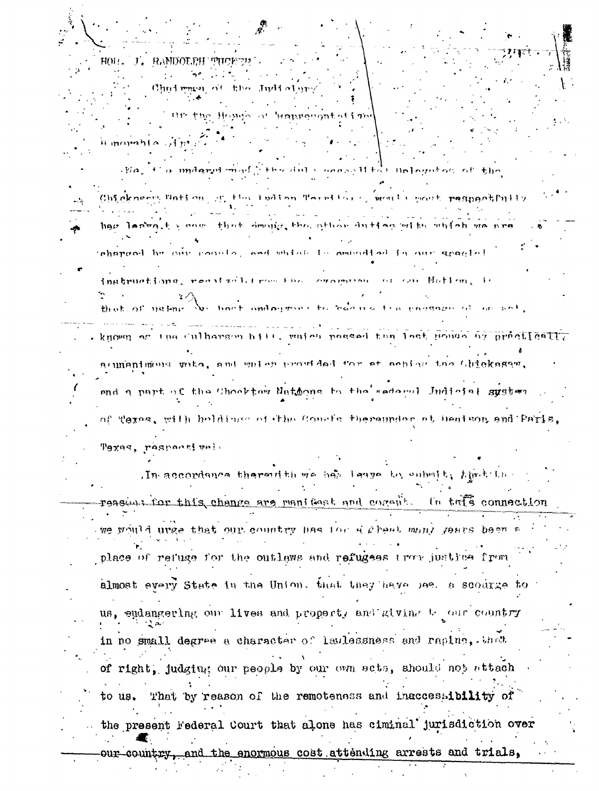HOU. J. RAMDOURH THICK Ohed mass of the Judiol the the Home of Hangocantoff me Himorahia dhi: alia, file mudaryd most ji the dul a oness H tot infogutou of the

Chickness Bation of this ladion Torel for gamelic post respondintly how laring the non-that demonstration other dutter with which we are pharmed by our require, and which is empediately our gradie!

inatructions, recaised it run the common or on Notion, is No hast onlayment to belong the paydage of an est, me l-ni-

known as the culberson hill, which possed the last House by prestically acumanimous mita, and miles provided for at achiev the Chickassen, and a part of the Chooktow Nathons to the sedeenl Judicial suster of Texas, with boldings of the Coucie thereunder at bentson and Paris

Texas, respectively

The accordance thereid there her leage to enbelt, thick the reasont for this change are manifest and corefit. In this connection we would urge that our country has for sighed mont jears been a place of refuge for the outlaws and refugees tror justice from almost every State in the Union, that they have bee, a scourge for us, endangering our lives and property and giving to our country in no small degree a character of lawlessness and rapine, that of right, judging our people by our own scts, should not attach That by reason of the remoteness and inaccessibility of to us. the present Federal Court that alone has ciminal jurisdiction over

our-country, and the enormous cost attending arrests and trials,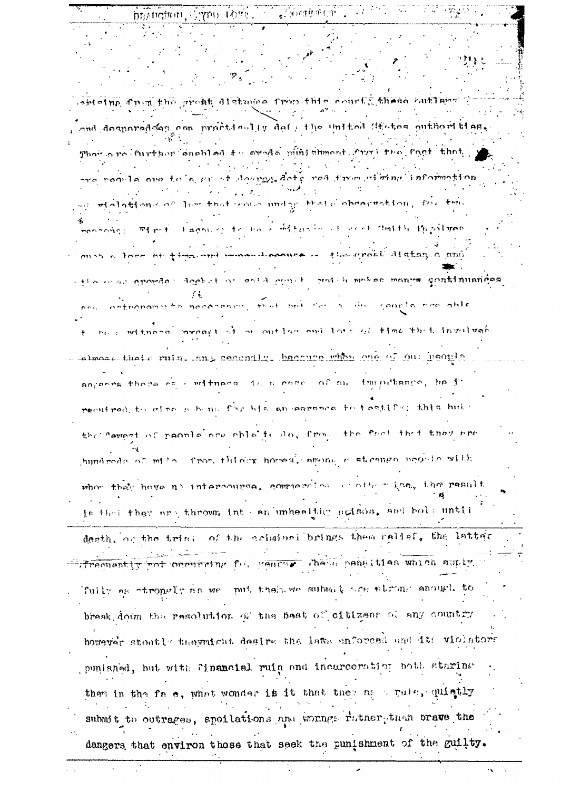| brotheffiort, Aypo though the Society of the second the second states       |
|-----------------------------------------------------------------------------|
|                                                                             |
|                                                                             |
| $\sim$ 11 M $_{\odot}$                                                      |
| $\mathcal{P}_{\phi_{\mathcal{A},\mathcal{C}}}$                              |
| witeing from the great distance from this centrifulness antiqual            |
|                                                                             |
| and desparadons com proctionlig def / the United States outhoribies.        |
| Their are iturkher enghled $*$ coreds wintshancet. from the fact that $\pm$ |
|                                                                             |
| are requise and to a for of source date not from without information        |
|                                                                             |
| and alations of low that come unday that deboarmation, for the              |
| moneouses without lagon of the book difference are the studies the solution |
|                                                                             |
| Conshield form of time mut more descripts in the grant distance and         |
|                                                                             |
| - the man apostor docket or ental contribution motes manus continuations    |
| one ontroponente noconement froi pri for a du rourlo ese able               |
|                                                                             |
| to be entimonal propert of a outlass and late of time that insulvab         |
| -almosamindia ruin, and secondly, because when one of our people            |
|                                                                             |
| ancence those on estimage in a come of an immitiance, he is                 |
| peont pad, to of no o bene for his an anyonous for trantifor, this build    |
| the carnet of poonle are ship'te do, from the free that they are            |
| hundreds of mile from things homes, among a strange noonle with             |
|                                                                             |
| when they have no intercourse, commercies of other has, the result          |
|                                                                             |
| is the they are thrown into an unhealthy acison, and bold until             |
| death, or the trink of the criminal brings then callef, the latter          |
|                                                                             |
| frequently rot coourring for general chase pensities which suply            |
|                                                                             |
| fuily as strongly as we mut then we submit are strong enough to             |
| break down the resolution of the best of citizens of any country            |
|                                                                             |
| however stootly theymight desire the laws enforced and its violators        |
| punished, but with financial ruin and incarcoration both staring            |
| them in the fa e, what wonder it it that they as wrute, quictly             |
|                                                                             |
| submit to outrages, spoilations and worngs rutner then brave the            |
| dangers that environ those that seek the punishment of the guilty.          |
|                                                                             |
|                                                                             |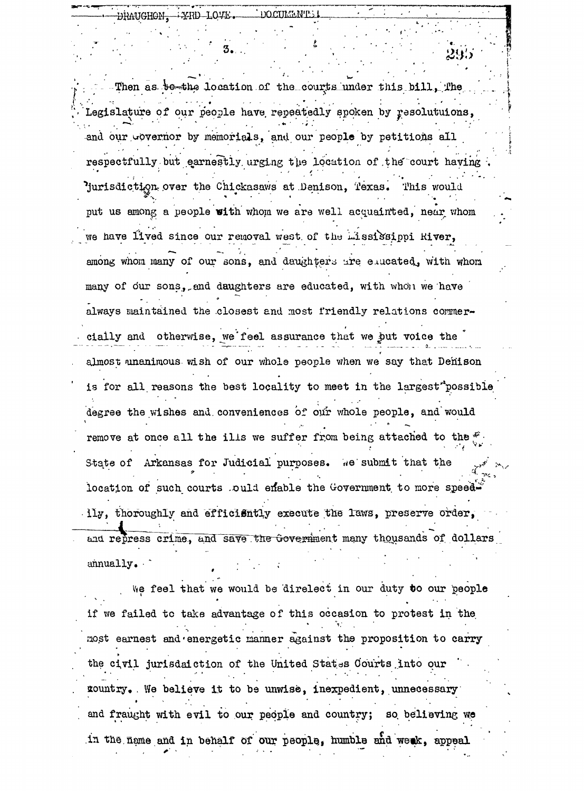Then as bothe location of the courts under this bill. The Legislature of our people have repeatedly spoken by resolutuions, and our governor by memorials, and our people by petitions all respectfully but earnestly urging the location of the court having Jurisdiction over the Chickasaws at Denison, Texas. This would put us among a people with whom we are well acquainted, near whom we have lived since our removal west of the mississippi River, among whom many of our sons, and daughters are enucated, with whom many of our sons, and daughters are educated, with whon we have always maintained the closest and most friendly relations commercially and otherwise, we feel assurance that we but voice the almost ananimous wish of our whole people when we say that Denison is for all reasons the best locality to meet in the largest"possible degree the wishes and conveniences of our whole people, and would remove at once all the ills we suffer from being attached to the  $f^*$ State of Arkansas for Judicial purposes. We submit that the location of such courts ould enable the Government to more speedily, thoroughly and efficiently execute the laws, preserve order, and repress crime, and save the Government many thousands of dollars annually.

We feel that we would be direlect in our duty to our people if we failed to take advantage of this occasion to protest in the most earnest and energetic manner against the proposition to carry the civil jurisdaiction of the United States Courts into our gountry. We believe it to be unwise, inexpedient, unnecessary and fraught with evil to our people and country; so believing we in the name and in behalf of our people, humble and weak, appeal

DHAUGHON. XRD-LOYE.

DOCUMENTS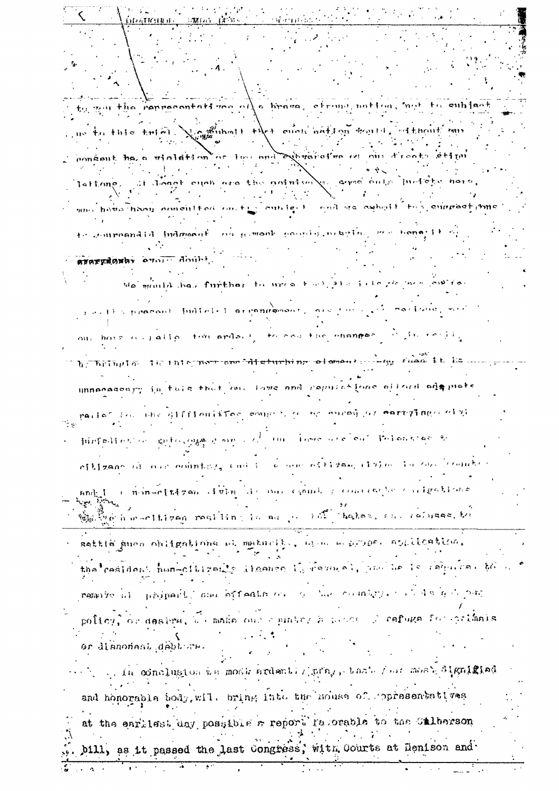かつに 41169 H of a

gou the compoontant man alle brane, etropy nation, mot to emblect

no to this tried. No ambout that even noting tours. and throut min comeant has a violation or low and exercistics on our drocts ation at dough each are the animismly corrections in debe. lattring,

autre fourt en lieute compart en singurant mus hous hoor nonculted on the

to compounded indomant on permook possible meaging were hone; it o avarydoway over death, and the We mania has further to urea tool also integre mea contrar

restla present fudiciel serennesement, se fue out horses palled for ards. I to see the changes 计可转让 经加重年度

b Thringin The International disturbing of amout compy film it is a unnocossary in this that me fous ond copulations offerd one of

partes for the difficultive complishes no nursh of corresponding  $\mathcal{L}_{\rm eff}$ 

furfailing in anticompany wind in the four declare theoreton to ellizane di ove edintara sud i se don ellizam iluim la cansicedu  $\texttt{and}_\mathbb{Z} \mathbb{I}$  is non-cludged always in our canal produce the problems Complete a monthloron rost time in our en the hotel can recurse the

sattle smon obligations of maturity, are a new symps. application, the centions non-clippeds themse is remain one be required to

remove all properts ma offents or a bar combries of debt por

policy, or desire, as make one equator h manes. I certage for crimals ar disnomant debture.

. In conclusion we most ardently pray, that four most algulated and honorable body, will bring into the mouse of copresentatives at the earliest day possible a report fasorable to the Calberson

bill, as it passed the last Congress, with Courts at Denison and